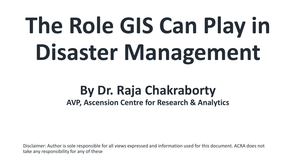# **The Role GIS Can Play in Disaster Management**

# **By Dr. Raja Chakraborty AVP, Ascension Centre for Research & Analytics**

Disclaimer: Author is sole responsible for all views expressed and information used for this document. ACRA does not take any responsibility for any of these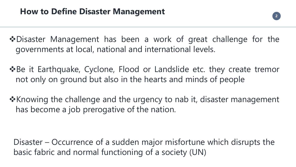#### **How to Define Disaster Management**



❖Disaster Management has been a work of great challenge for the governments at local, national and international levels.

❖Be it Earthquake, Cyclone, Flood or Landslide etc. they create tremor not only on ground but also in the hearts and minds of people

❖Knowing the challenge and the urgency to nab it, disaster management has become a job prerogative of the nation.

Disaster – Occurrence of a sudden major misfortune which disrupts the basic fabric and normal functioning of a society (UN)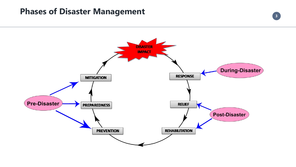

#### **Phases of Disaster Management**

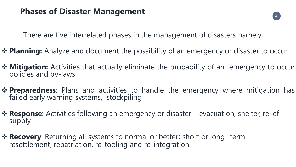

#### **Phases of Disaster Management**

There are five interrelated phases in the management of disasters namely;

- ❖ **Planning:** Analyze and document the possibility of an emergency or disaster to occur.
- ❖ **Mitigation:** Activities that actually eliminate the probability of an emergency to occur policies and by-laws
- ❖ **Preparedness**: Plans and activities to handle the emergency where mitigation has failed early warning systems, stockpiling
- ❖ **Response**: Activities following an emergency or disaster evacuation, shelter, relief supply
- **❖ Recovery**: Returning all systems to normal or better; short or long- term resettlement, repatriation, re-tooling and re-integration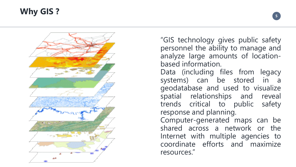#### **Why GIS ?**



**5**

"GIS technology gives public safety personnel the ability to manage and analyze large amounts of location based information .

Data (including files from legacy systems) can be stored in a geodatabase and used to visualize spatial relationships and reveal trends critical to public safety response and planning .

Computer -generated maps can be shared across a network or the Internet with multiple agencies to coordinate efforts and maximize resources . "

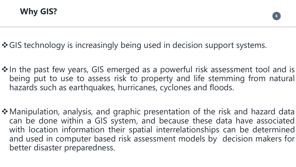**Why GIS?**





#### ❖GIS technology is increasingly being used in decision support systems.

**In the past few years, GIS emerged as a powerful risk assessment tool and is** being put to use to assess risk to property and life stemming from natural

- hazards such as earthquakes, hurricanes, cyclones and floods.
- better disaster preparedness.

❖Manipulation, analysis, and graphic presentation of the risk and hazard data can be done within a GIS system, and because these data have associated with location information their spatial interrelationships can be determined and used in computer based risk assessment models by decision makers for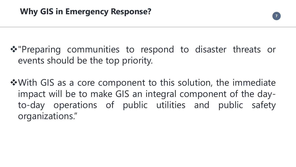### **Why GIS in Emergency Response?**



❖"Preparing communities to respond to disaster threats or events should be the top priority.

❖With GIS as a core component to this solution, the immediate impact will be to make GIS an integral component of the dayto-day operations of public utilities and public safety organizations. "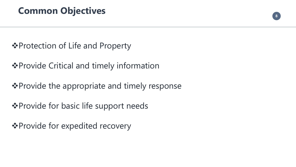

### **Common Objectives**

❖Protection of Life and Property

❖Provide Critical and timely information

❖Provide the appropriate and timely response

❖Provide for basic life support needs

❖Provide for expedited recovery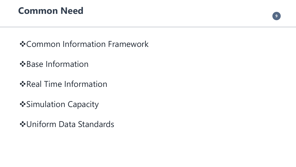

#### **Common Need**



- ❖Base Information
- ❖Real Time Information
- ❖Simulation Capacity
- ❖Uniform Data Standards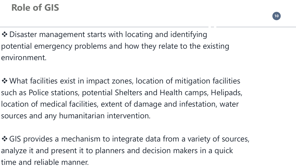

 $\int$ 

- **Ilities** pads, vater van die komme van die komme van die komme van die komme van die komme van die komme van die komme van di<br>Verwysingste van die komme van die komme van die komme van die komme van die komme van die komme van die komme
- 

## **Role of GIS**

❖ Disaster management starts with locating and identifying potential emergency problems and how they relate to the existing environment.

❖ What facilities exist in impact zones, location of mitigation facilities such as Police stations, potential Shelters and Health camps, Helipads, location of medical facilities, extent of damage and infestation, water sources and any humanitarian intervention.

❖ GIS provides a mechanism to integrate data from a variety of sources, analyze it and present it to planners and decision makers in a quick time and reliable manner.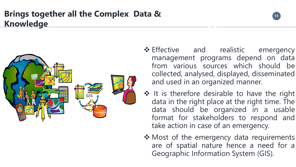



#### **Brings together all the Complex Data & Knowledge**

- alistic er management programs depend on data sta wonen and and used in an organized manner. ❖ Effective and realistic emergency from various sources which should be collected, analysed, displayed, disseminated
- ble to have t and light in lers to respo Colin Powell ❖ It is therefore desirable to have the right data in the right place at the right time. The data should be organized in a usable format for stakeholders to respond and take action in case of an emergency.
- ❖ Most of the emergency data requirements are of spatial nature hence a need for a Geographic Information System (GIS).





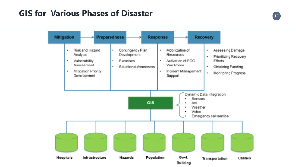### **GIS for Various Phases of Disaster <sup>12</sup>**

| <b>Mitigation</b><br>₩                                                                                             | <b>Preparedness</b>                                                       |
|--------------------------------------------------------------------------------------------------------------------|---------------------------------------------------------------------------|
| Risk and Hazard<br>Analysis<br>Vulnerability<br>Assessment<br>Mitigation Priority<br><b>In the </b><br>Development | Contingency<br>œ.<br>Developmen<br>Exercises<br>ш<br>Situational A<br>ПP. |





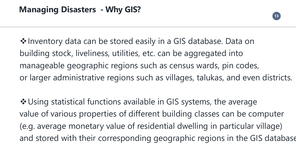



### **Managing Disasters - Why GIS?**

❖Using statistical functions available in GIS systems, the average value of various properties of different building classes can be computer (e.g. average monetary value of residential dwelling in particular village) and stored with their corresponding geographic regions in the GIS database



❖Inventory data can be stored easily in a GIS database. Data on building stock, liveliness, utilities, etc. can be aggregated into manageable geographic regions such as census wards, pin codes, or larger administrative regions such as villages, talukas, and even districts.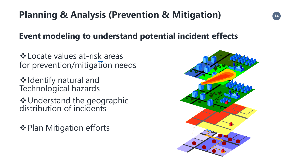# **Planning & Analysis (Prevention & Mitigation) <sup>14</sup>**

#### **Event modeling to understand potential incident effects**

❖Locate values at-risk areas for prevention/mitigation needs

❖Identify natural and Technological hazards

❖Understand the geographic distribution of incidents

❖Plan Mitigation efforts



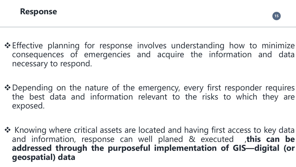

**Response**

#### ❖Effective planning for response involves understanding how to minimize consequences of emergencies and acquire the information and data

#### ❖Depending on the nature of the emergency, every first responder requires the best data and information relevant to the risks to which they are

- necessary to respond.
- exposed.
- **geospatial) data**

❖ Knowing where critical assets are located and having first access to key data and information, response can well planed & executed ,**this can be addressed through the purposeful implementation of GIS—digital (or**





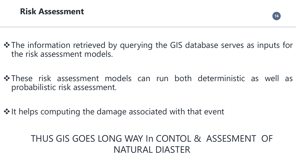

#### **Risk Assessment**

#### ❖The information retrieved by querying the GIS database serves as inputs for

the risk assessment models.

#### ❖These risk assessment models can run both deterministic as well as





probabilistic risk assessment.

❖ It helps computing the damage associated with that event

THUS GIS GOES LONG WAY In CONTOL & ASSESMENT OF NATURAL DIASTER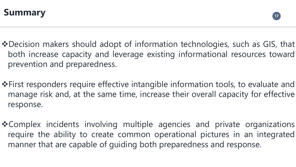

❖Decision makers should adopt of information technologies, such as GIS, that both increase capacity and leverage existing informational resources toward

❖First responders require effective intangible information tools, to evaluate and manage risk and, at the same time, increase their overall capacity for effective

- prevention and preparedness.
- response.
- manner that are capable of guiding both preparedness and response.

❖Complex incidents involving multiple agencies and private organizations require the ability to create common operational pictures in an integrated







## **Summary**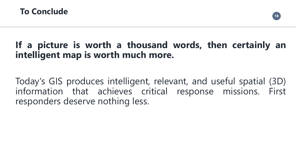





#### **To Conclude**

### **If a picture is worth a thousand words, then certainly an intelligent map is worth much more.**

Today's GIS produces intelligent, relevant, and useful spatial (3D) information that achieves critical response missions. First responders deserve nothing less.